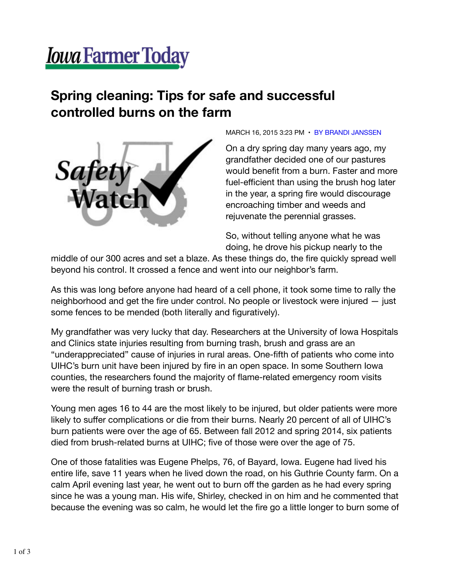## **Jowa Farmer Today**

## **Spring cleaning: Tips for safe and successful controlled burns on the farm**



MARCH 16, 2015 3:23 PM • BY BRANDI JANSSEN

On a dry spring day many years ago, my grandfather decided one of our pastures would benefit from a burn. Faster and more fuel-efficient than using the brush hog later in the year, a spring fire would discourage encroaching timber and weeds and rejuvenate the perennial grasses.

So, without telling anyone what he was doing, he drove his pickup nearly to the

middle of our 300 acres and set a blaze. As these things do, the fire quickly spread well beyond his control. It crossed a fence and went into our neighbor's farm.

As this was long before anyone had heard of a cell phone, it took some time to rally the neighborhood and get the fire under control. No people or livestock were injured — just some fences to be mended (both literally and figuratively).

My grandfather was very lucky that day. Researchers at the University of Iowa Hospitals and Clinics state injuries resulting from burning trash, brush and grass are an "underappreciated" cause of injuries in rural areas. One-fifth of patients who come into UIHC's burn unit have been injured by fire in an open space. In some Southern Iowa counties, the researchers found the majority of flame-related emergency room visits were the result of burning trash or brush.

Young men ages 16 to 44 are the most likely to be injured, but older patients were more likely to suffer complications or die from their burns. Nearly 20 percent of all of UIHC's burn patients were over the age of 65. Between fall 2012 and spring 2014, six patients died from brush-related burns at UIHC; five of those were over the age of 75.

One of those fatalities was Eugene Phelps, 76, of Bayard, Iowa. Eugene had lived his entire life, save 11 years when he lived down the road, on his Guthrie County farm. On a calm April evening last year, he went out to burn off the garden as he had every spring since he was a young man. His wife, Shirley, checked in on him and he commented that because the evening was so calm, he would let the fire go a little longer to burn some of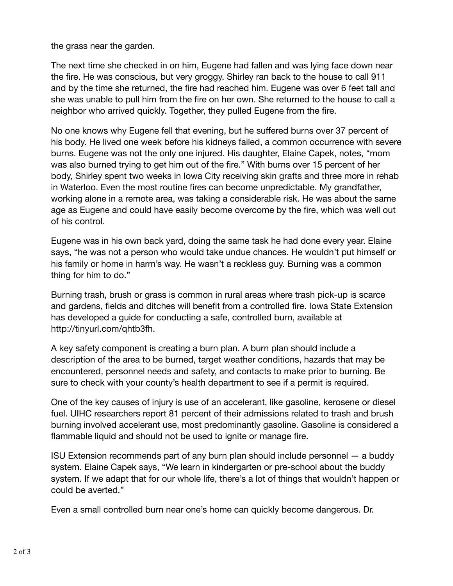the grass near the garden.

The next time she checked in on him, Eugene had fallen and was lying face down near the fire. He was conscious, but very groggy. Shirley ran back to the house to call 911 and by the time she returned, the fire had reached him. Eugene was over 6 feet tall and she was unable to pull him from the fire on her own. She returned to the house to call a neighbor who arrived quickly. Together, they pulled Eugene from the fire.

No one knows why Eugene fell that evening, but he suffered burns over 37 percent of his body. He lived one week before his kidneys failed, a common occurrence with severe burns. Eugene was not the only one injured. His daughter, Elaine Capek, notes, "mom was also burned trying to get him out of the fire." With burns over 15 percent of her body, Shirley spent two weeks in Iowa City receiving skin grafts and three more in rehab in Waterloo. Even the most routine fires can become unpredictable. My grandfather, working alone in a remote area, was taking a considerable risk. He was about the same age as Eugene and could have easily become overcome by the fire, which was well out of his control.

Eugene was in his own back yard, doing the same task he had done every year. Elaine says, "he was not a person who would take undue chances. He wouldn't put himself or his family or home in harm's way. He wasn't a reckless guy. Burning was a common thing for him to do."

Burning trash, brush or grass is common in rural areas where trash pick-up is scarce and gardens, fields and ditches will benefit from a controlled fire. Iowa State Extension has developed a guide for conducting a safe, controlled burn, available at http://tinyurl.com/qhtb3fh.

A key safety component is creating a burn plan. A burn plan should include a description of the area to be burned, target weather conditions, hazards that may be encountered, personnel needs and safety, and contacts to make prior to burning. Be sure to check with your county's health department to see if a permit is required.

One of the key causes of injury is use of an accelerant, like gasoline, kerosene or diesel fuel. UIHC researchers report 81 percent of their admissions related to trash and brush burning involved accelerant use, most predominantly gasoline. Gasoline is considered a flammable liquid and should not be used to ignite or manage fire.

ISU Extension recommends part of any burn plan should include personnel — a buddy system. Elaine Capek says, "We learn in kindergarten or pre-school about the buddy system. If we adapt that for our whole life, there's a lot of things that wouldn't happen or could be averted."

Even a small controlled burn near one's home can quickly become dangerous. Dr.